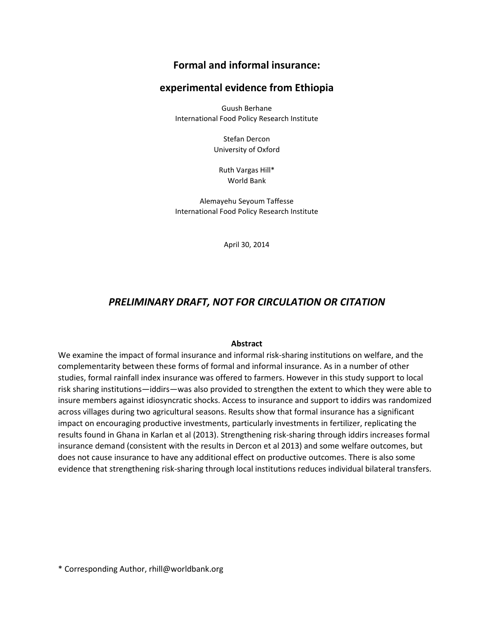# Formal and informal insurance:

# experimental evidence from Ethiopia

Guush Berhane International Food Policy Research Institute

> Stefan Dercon University of Oxford

Ruth Vargas Hill\* World Bank

Alemayehu Seyoum Taffesse International Food Policy Research Institute

April 30, 2014

# PRELIMINARY DRAFT, NOT FOR CIRCULATION OR CITATION

### Abstract

We examine the impact of formal insurance and informal risk-sharing institutions on welfare, and the complementarity between these forms of formal and informal insurance. As in a number of other studies, formal rainfall index insurance was offered to farmers. However in this study support to local risk sharing institutions—iddirs—was also provided to strengthen the extent to which they were able to insure members against idiosyncratic shocks. Access to insurance and support to iddirs was randomized across villages during two agricultural seasons. Results show that formal insurance has a significant impact on encouraging productive investments, particularly investments in fertilizer, replicating the results found in Ghana in Karlan et al (2013). Strengthening risk-sharing through iddirs increases formal insurance demand (consistent with the results in Dercon et al 2013) and some welfare outcomes, but does not cause insurance to have any additional effect on productive outcomes. There is also some evidence that strengthening risk-sharing through local institutions reduces individual bilateral transfers.

\* Corresponding Author, rhill@worldbank.org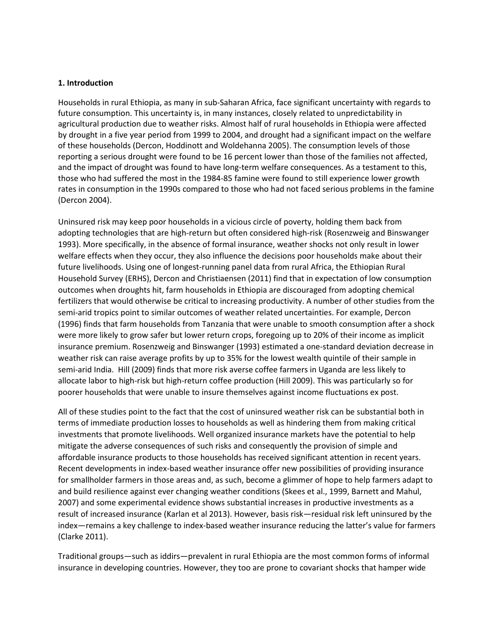### 1. Introduction

Households in rural Ethiopia, as many in sub-Saharan Africa, face significant uncertainty with regards to future consumption. This uncertainty is, in many instances, closely related to unpredictability in agricultural production due to weather risks. Almost half of rural households in Ethiopia were affected by drought in a five year period from 1999 to 2004, and drought had a significant impact on the welfare of these households (Dercon, Hoddinott and Woldehanna 2005). The consumption levels of those reporting a serious drought were found to be 16 percent lower than those of the families not affected, and the impact of drought was found to have long-term welfare consequences. As a testament to this, those who had suffered the most in the 1984-85 famine were found to still experience lower growth rates in consumption in the 1990s compared to those who had not faced serious problems in the famine (Dercon 2004).

Uninsured risk may keep poor households in a vicious circle of poverty, holding them back from adopting technologies that are high-return but often considered high-risk (Rosenzweig and Binswanger 1993). More specifically, in the absence of formal insurance, weather shocks not only result in lower welfare effects when they occur, they also influence the decisions poor households make about their future livelihoods. Using one of longest-running panel data from rural Africa, the Ethiopian Rural Household Survey (ERHS), Dercon and Christiaensen (2011) find that in expectation of low consumption outcomes when droughts hit, farm households in Ethiopia are discouraged from adopting chemical fertilizers that would otherwise be critical to increasing productivity. A number of other studies from the semi-arid tropics point to similar outcomes of weather related uncertainties. For example, Dercon (1996) finds that farm households from Tanzania that were unable to smooth consumption after a shock were more likely to grow safer but lower return crops, foregoing up to 20% of their income as implicit insurance premium. Rosenzweig and Binswanger (1993) estimated a one-standard deviation decrease in weather risk can raise average profits by up to 35% for the lowest wealth quintile of their sample in semi-arid India. Hill (2009) finds that more risk averse coffee farmers in Uganda are less likely to allocate labor to high-risk but high-return coffee production (Hill 2009). This was particularly so for poorer households that were unable to insure themselves against income fluctuations ex post.

All of these studies point to the fact that the cost of uninsured weather risk can be substantial both in terms of immediate production losses to households as well as hindering them from making critical investments that promote livelihoods. Well organized insurance markets have the potential to help mitigate the adverse consequences of such risks and consequently the provision of simple and affordable insurance products to those households has received significant attention in recent years. Recent developments in index-based weather insurance offer new possibilities of providing insurance for smallholder farmers in those areas and, as such, become a glimmer of hope to help farmers adapt to and build resilience against ever changing weather conditions (Skees et al., 1999, Barnett and Mahul, 2007) and some experimental evidence shows substantial increases in productive investments as a result of increased insurance (Karlan et al 2013). However, basis risk—residual risk left uninsured by the index—remains a key challenge to index-based weather insurance reducing the latter's value for farmers (Clarke 2011).

Traditional groups—such as iddirs—prevalent in rural Ethiopia are the most common forms of informal insurance in developing countries. However, they too are prone to covariant shocks that hamper wide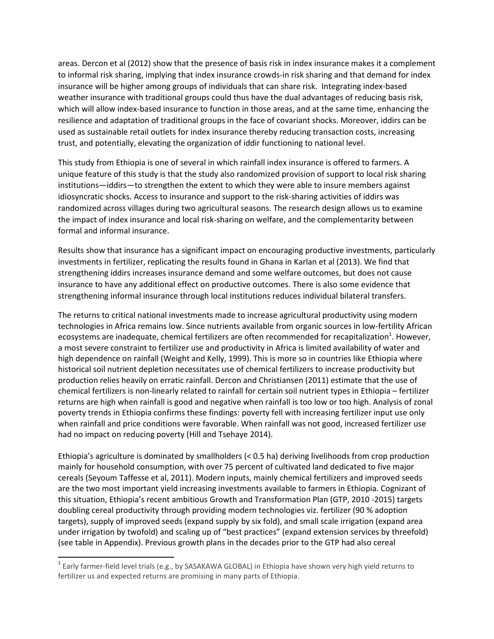areas. Dercon et al (2012) show that the presence of basis risk in index insurance makes it a complement to informal risk sharing, implying that index insurance crowds-in risk sharing and that demand for index insurance will be higher among groups of individuals that can share risk. Integrating index-based weather insurance with traditional groups could thus have the dual advantages of reducing basis risk, which will allow index-based insurance to function in those areas, and at the same time, enhancing the resilience and adaptation of traditional groups in the face of covariant shocks. Moreover, iddirs can be used as sustainable retail outlets for index insurance thereby reducing transaction costs, increasing trust, and potentially, elevating the organization of iddir functioning to national level.

This study from Ethiopia is one of several in which rainfall index insurance is offered to farmers. A unique feature of this study is that the study also randomized provision of support to local risk sharing institutions—iddirs—to strengthen the extent to which they were able to insure members against idiosyncratic shocks. Access to insurance and support to the risk-sharing activities of iddirs was randomized across villages during two agricultural seasons. The research design allows us to examine the impact of index insurance and local risk-sharing on welfare, and the complementarity between formal and informal insurance.

Results show that insurance has a significant impact on encouraging productive investments, particularly investments in fertilizer, replicating the results found in Ghana in Karlan et al (2013). We find that strengthening iddirs increases insurance demand and some welfare outcomes, but does not cause insurance to have any additional effect on productive outcomes. There is also some evidence that strengthening informal insurance through local institutions reduces individual bilateral transfers.

The returns to critical national investments made to increase agricultural productivity using modern technologies in Africa remains low. Since nutrients available from organic sources in low-fertility African ecosystems are inadequate, chemical fertilizers are often recommended for recapitalization $^{1}$ . However, a most severe constraint to fertilizer use and productivity in Africa is limited availability of water and high dependence on rainfall (Weight and Kelly, 1999). This is more so in countries like Ethiopia where historical soil nutrient depletion necessitates use of chemical fertilizers to increase productivity but production relies heavily on erratic rainfall. Dercon and Christiansen (2011) estimate that the use of chemical fertilizers is non-linearly related to rainfall for certain soil nutrient types in Ethiopia – fertilizer returns are high when rainfall is good and negative when rainfall is too low or too high. Analysis of zonal poverty trends in Ethiopia confirms these findings: poverty fell with increasing fertilizer input use only when rainfall and price conditions were favorable. When rainfall was not good, increased fertilizer use had no impact on reducing poverty (Hill and Tsehaye 2014).

Ethiopia's agriculture is dominated by smallholders (< 0.5 ha) deriving livelihoods from crop production mainly for household consumption, with over 75 percent of cultivated land dedicated to five major cereals (Seyoum Taffesse et al, 2011). Modern inputs, mainly chemical fertilizers and improved seeds are the two most important yield increasing investments available to farmers in Ethiopia. Cognizant of this situation, Ethiopia's recent ambitious Growth and Transformation Plan (GTP, 2010 -2015) targets doubling cereal productivity through providing modern technologies viz. fertilizer (90 % adoption targets), supply of improved seeds (expand supply by six fold), and small scale irrigation (expand area under irrigation by twofold) and scaling up of "best practices" (expand extension services by threefold) (see table in Appendix). Previous growth plans in the decades prior to the GTP had also cereal

 1 Early farmer-field level trials (e.g., by SASAKAWA GLOBAL) in Ethiopia have shown very high yield returns to fertilizer us and expected returns are promising in many parts of Ethiopia.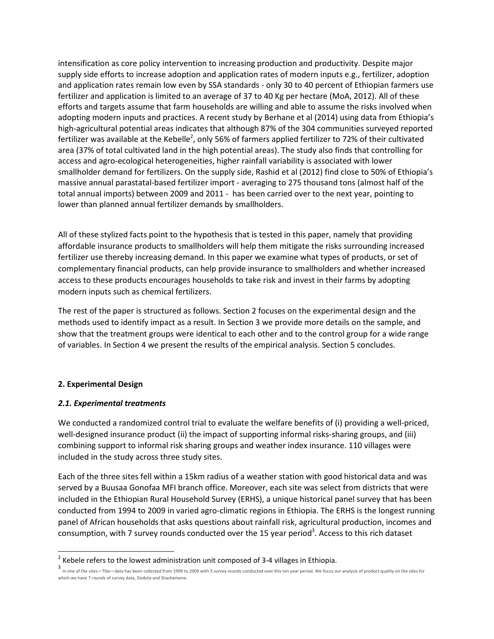intensification as core policy intervention to increasing production and productivity. Despite major supply side efforts to increase adoption and application rates of modern inputs e.g., fertilizer, adoption and application rates remain low even by SSA standards - only 30 to 40 percent of Ethiopian farmers use fertilizer and application is limited to an average of 37 to 40 Kg per hectare (MoA, 2012). All of these efforts and targets assume that farm households are willing and able to assume the risks involved when adopting modern inputs and practices. A recent study by Berhane et al (2014) using data from Ethiopia's high-agricultural potential areas indicates that although 87% of the 304 communities surveyed reported fertilizer was available at the Kebelle<sup>2</sup>, only 56% of farmers applied fertilizer to 72% of their cultivated area (37% of total cultivated land in the high potential areas). The study also finds that controlling for access and agro-ecological heterogeneities, higher rainfall variability is associated with lower smallholder demand for fertilizers. On the supply side, Rashid et al (2012) find close to 50% of Ethiopia's massive annual parastatal-based fertilizer import - averaging to 275 thousand tons (almost half of the total annual imports) between 2009 and 2011 - has been carried over to the next year, pointing to lower than planned annual fertilizer demands by smallholders.

All of these stylized facts point to the hypothesis that is tested in this paper, namely that providing affordable insurance products to smallholders will help them mitigate the risks surrounding increased fertilizer use thereby increasing demand. In this paper we examine what types of products, or set of complementary financial products, can help provide insurance to smallholders and whether increased access to these products encourages households to take risk and invest in their farms by adopting modern inputs such as chemical fertilizers.

The rest of the paper is structured as follows. Section 2 focuses on the experimental design and the methods used to identify impact as a result. In Section 3 we provide more details on the sample, and show that the treatment groups were identical to each other and to the control group for a wide range of variables. In Section 4 we present the results of the empirical analysis. Section 5 concludes.

### 2. Experimental Design

### 2.1. Experimental treatments

We conducted a randomized control trial to evaluate the welfare benefits of (i) providing a well-priced, well-designed insurance product (ii) the impact of supporting informal risks-sharing groups, and (iii) combining support to informal risk sharing groups and weather index insurance. 110 villages were included in the study across three study sites.

Each of the three sites fell within a 15km radius of a weather station with good historical data and was served by a Buusaa Gonofaa MFI branch office. Moreover, each site was select from districts that were included in the Ethiopian Rural Household Survey (ERHS), a unique historical panel survey that has been conducted from 1994 to 2009 in varied agro-climatic regions in Ethiopia. The ERHS is the longest running panel of African households that asks questions about rainfall risk, agricultural production, incomes and consumption, with 7 survey rounds conducted over the 15 year period<sup>3</sup>. Access to this rich dataset

**EXECTE 2**<br>2 Kebele refers to the lowest administration unit composed of 3-4 villages in Ethiopia.

<sup>3</sup> In one of the sites—Tibe—data has been collected from 1999 to 2009 with 3 survey rounds conducted over this ten year period. We focus our analysis of product quality on the sites for which we have 7 rounds of survey data, Dodota and Shashemene.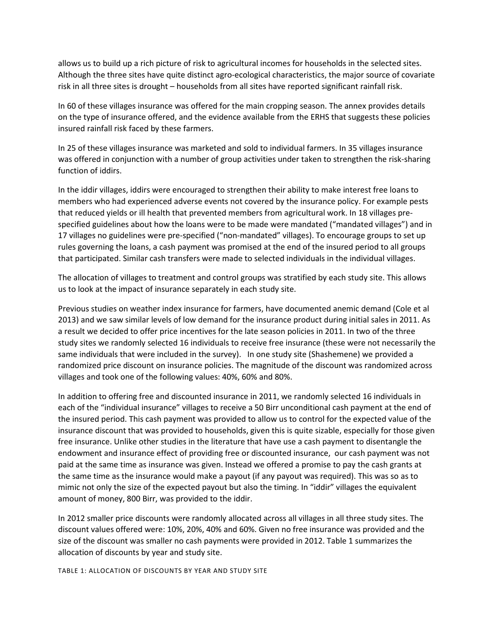allows us to build up a rich picture of risk to agricultural incomes for households in the selected sites. Although the three sites have quite distinct agro-ecological characteristics, the major source of covariate risk in all three sites is drought – households from all sites have reported significant rainfall risk.

In 60 of these villages insurance was offered for the main cropping season. The annex provides details on the type of insurance offered, and the evidence available from the ERHS that suggests these policies insured rainfall risk faced by these farmers.

In 25 of these villages insurance was marketed and sold to individual farmers. In 35 villages insurance was offered in conjunction with a number of group activities under taken to strengthen the risk-sharing function of iddirs.

In the iddir villages, iddirs were encouraged to strengthen their ability to make interest free loans to members who had experienced adverse events not covered by the insurance policy. For example pests that reduced yields or ill health that prevented members from agricultural work. In 18 villages prespecified guidelines about how the loans were to be made were mandated ("mandated villages") and in 17 villages no guidelines were pre-specified ("non-mandated" villages). To encourage groups to set up rules governing the loans, a cash payment was promised at the end of the insured period to all groups that participated. Similar cash transfers were made to selected individuals in the individual villages.

The allocation of villages to treatment and control groups was stratified by each study site. This allows us to look at the impact of insurance separately in each study site.

Previous studies on weather index insurance for farmers, have documented anemic demand (Cole et al 2013) and we saw similar levels of low demand for the insurance product during initial sales in 2011. As a result we decided to offer price incentives for the late season policies in 2011. In two of the three study sites we randomly selected 16 individuals to receive free insurance (these were not necessarily the same individuals that were included in the survey). In one study site (Shashemene) we provided a randomized price discount on insurance policies. The magnitude of the discount was randomized across villages and took one of the following values: 40%, 60% and 80%.

In addition to offering free and discounted insurance in 2011, we randomly selected 16 individuals in each of the "individual insurance" villages to receive a 50 Birr unconditional cash payment at the end of the insured period. This cash payment was provided to allow us to control for the expected value of the insurance discount that was provided to households, given this is quite sizable, especially for those given free insurance. Unlike other studies in the literature that have use a cash payment to disentangle the endowment and insurance effect of providing free or discounted insurance, our cash payment was not paid at the same time as insurance was given. Instead we offered a promise to pay the cash grants at the same time as the insurance would make a payout (if any payout was required). This was so as to mimic not only the size of the expected payout but also the timing. In "iddir" villages the equivalent amount of money, 800 Birr, was provided to the iddir.

In 2012 smaller price discounts were randomly allocated across all villages in all three study sites. The discount values offered were: 10%, 20%, 40% and 60%. Given no free insurance was provided and the size of the discount was smaller no cash payments were provided in 2012. Table 1 summarizes the allocation of discounts by year and study site.

TABLE 1: ALLOCATION OF DISCOUNTS BY YEAR AND STUDY SITE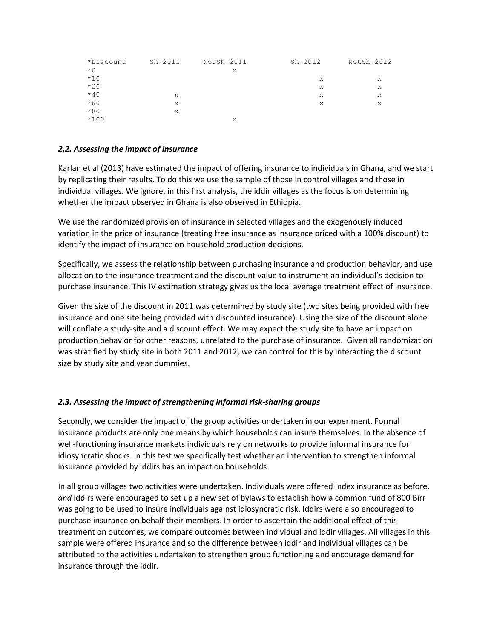| *Discount | $Sh-2011$ | NotSh-2011 | $Sh-2012$ | NotSh-2012 |
|-----------|-----------|------------|-----------|------------|
| $*$ 0     |           | X          |           |            |
| $*10$     |           |            | X         | X          |
| $*20$     |           |            | X         | X          |
| $*40$     | X         |            | X         | X          |
| $*60$     | X         |            | X         | X          |
| $*80$     | X         |            |           |            |
| $*100$    |           | X          |           |            |

## 2.2. Assessing the impact of insurance

Karlan et al (2013) have estimated the impact of offering insurance to individuals in Ghana, and we start by replicating their results. To do this we use the sample of those in control villages and those in individual villages. We ignore, in this first analysis, the iddir villages as the focus is on determining whether the impact observed in Ghana is also observed in Ethiopia.

We use the randomized provision of insurance in selected villages and the exogenously induced variation in the price of insurance (treating free insurance as insurance priced with a 100% discount) to identify the impact of insurance on household production decisions.

Specifically, we assess the relationship between purchasing insurance and production behavior, and use allocation to the insurance treatment and the discount value to instrument an individual's decision to purchase insurance. This IV estimation strategy gives us the local average treatment effect of insurance.

Given the size of the discount in 2011 was determined by study site (two sites being provided with free insurance and one site being provided with discounted insurance). Using the size of the discount alone will conflate a study-site and a discount effect. We may expect the study site to have an impact on production behavior for other reasons, unrelated to the purchase of insurance. Given all randomization was stratified by study site in both 2011 and 2012, we can control for this by interacting the discount size by study site and year dummies.

## 2.3. Assessing the impact of strengthening informal risk-sharing groups

Secondly, we consider the impact of the group activities undertaken in our experiment. Formal insurance products are only one means by which households can insure themselves. In the absence of well-functioning insurance markets individuals rely on networks to provide informal insurance for idiosyncratic shocks. In this test we specifically test whether an intervention to strengthen informal insurance provided by iddirs has an impact on households.

In all group villages two activities were undertaken. Individuals were offered index insurance as before, and iddirs were encouraged to set up a new set of bylaws to establish how a common fund of 800 Birr was going to be used to insure individuals against idiosyncratic risk. Iddirs were also encouraged to purchase insurance on behalf their members. In order to ascertain the additional effect of this treatment on outcomes, we compare outcomes between individual and iddir villages. All villages in this sample were offered insurance and so the difference between iddir and individual villages can be attributed to the activities undertaken to strengthen group functioning and encourage demand for insurance through the iddir.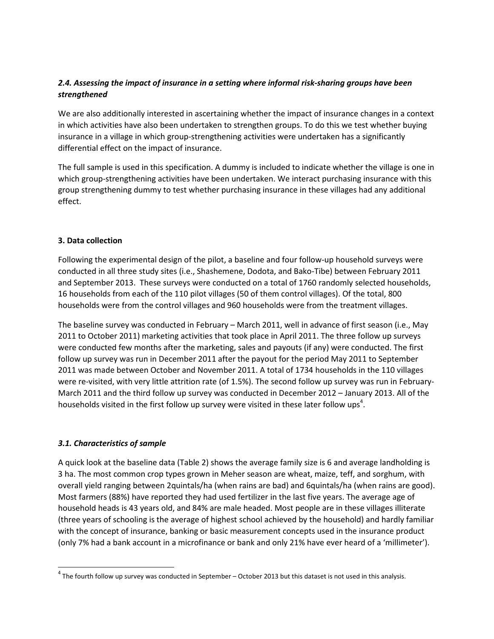## 2.4. Assessing the impact of insurance in a setting where informal risk-sharing groups have been strengthened

We are also additionally interested in ascertaining whether the impact of insurance changes in a context in which activities have also been undertaken to strengthen groups. To do this we test whether buying insurance in a village in which group-strengthening activities were undertaken has a significantly differential effect on the impact of insurance.

The full sample is used in this specification. A dummy is included to indicate whether the village is one in which group-strengthening activities have been undertaken. We interact purchasing insurance with this group strengthening dummy to test whether purchasing insurance in these villages had any additional effect.

## 3. Data collection

Following the experimental design of the pilot, a baseline and four follow-up household surveys were conducted in all three study sites (i.e., Shashemene, Dodota, and Bako-Tibe) between February 2011 and September 2013. These surveys were conducted on a total of 1760 randomly selected households, 16 households from each of the 110 pilot villages (50 of them control villages). Of the total, 800 households were from the control villages and 960 households were from the treatment villages.

The baseline survey was conducted in February – March 2011, well in advance of first season (i.e., May 2011 to October 2011) marketing activities that took place in April 2011. The three follow up surveys were conducted few months after the marketing, sales and payouts (if any) were conducted. The first follow up survey was run in December 2011 after the payout for the period May 2011 to September 2011 was made between October and November 2011. A total of 1734 households in the 110 villages were re-visited, with very little attrition rate (of 1.5%). The second follow up survey was run in February-March 2011 and the third follow up survey was conducted in December 2012 – January 2013. All of the households visited in the first follow up survey were visited in these later follow ups<sup>4</sup>.

### 3.1. Characteristics of sample

 $\overline{a}$ 

A quick look at the baseline data (Table 2) shows the average family size is 6 and average landholding is 3 ha. The most common crop types grown in Meher season are wheat, maize, teff, and sorghum, with overall yield ranging between 2quintals/ha (when rains are bad) and 6quintals/ha (when rains are good). Most farmers (88%) have reported they had used fertilizer in the last five years. The average age of household heads is 43 years old, and 84% are male headed. Most people are in these villages illiterate (three years of schooling is the average of highest school achieved by the household) and hardly familiar with the concept of insurance, banking or basic measurement concepts used in the insurance product (only 7% had a bank account in a microfinance or bank and only 21% have ever heard of a 'millimeter').

 $^4$  The fourth follow up survey was conducted in September – October 2013 but this dataset is not used in this analysis.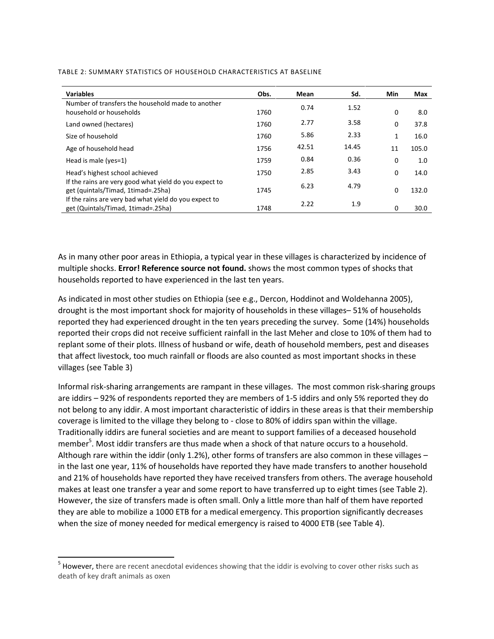| <b>Variables</b>                                                                             | Obs. | Mean  | Sd.   | <b>Min</b>   | Max   |
|----------------------------------------------------------------------------------------------|------|-------|-------|--------------|-------|
| Number of transfers the household made to another<br>household or households                 | 1760 | 0.74  | 1.52  | 0            | 8.0   |
| Land owned (hectares)                                                                        | 1760 | 2.77  | 3.58  | 0            | 37.8  |
| Size of household                                                                            | 1760 | 5.86  | 2.33  | $\mathbf{1}$ | 16.0  |
| Age of household head                                                                        | 1756 | 42.51 | 14.45 | 11           | 105.0 |
| Head is male (yes=1)                                                                         | 1759 | 0.84  | 0.36  | 0            | 1.0   |
| Head's highest school achieved                                                               | 1750 | 2.85  | 3.43  | 0            | 14.0  |
| If the rains are very good what yield do you expect to<br>get (quintals/Timad, 1timad=.25ha) | 1745 | 6.23  | 4.79  | 0            | 132.0 |
| If the rains are very bad what yield do you expect to<br>get (Quintals/Timad, 1timad=.25ha)  | 1748 | 2.22  | 1.9   | 0            | 30.0  |

#### TABLE 2: SUMMARY STATISTICS OF HOUSEHOLD CHARACTERISTICS AT BASELINE

As in many other poor areas in Ethiopia, a typical year in these villages is characterized by incidence of multiple shocks. **Error! Reference source not found.** shows the most common types of shocks that households reported to have experienced in the last ten years.

As indicated in most other studies on Ethiopia (see e.g., Dercon, Hoddinot and Woldehanna 2005), drought is the most important shock for majority of households in these villages– 51% of households reported they had experienced drought in the ten years preceding the survey. Some (14%) households reported their crops did not receive sufficient rainfall in the last Meher and close to 10% of them had to replant some of their plots. Illness of husband or wife, death of household members, pest and diseases that affect livestock, too much rainfall or floods are also counted as most important shocks in these villages (see Table 3)

Informal risk-sharing arrangements are rampant in these villages. The most common risk-sharing groups are iddirs – 92% of respondents reported they are members of 1-5 iddirs and only 5% reported they do not belong to any iddir. A most important characteristic of iddirs in these areas is that their membership coverage is limited to the village they belong to - close to 80% of iddirs span within the village. Traditionally iddirs are funeral societies and are meant to support families of a deceased household member<sup>5</sup>. Most iddir transfers are thus made when a shock of that nature occurs to a household. Although rare within the iddir (only 1.2%), other forms of transfers are also common in these villages – in the last one year, 11% of households have reported they have made transfers to another household and 21% of households have reported they have received transfers from others. The average household makes at least one transfer a year and some report to have transferred up to eight times (see Table 2). However, the size of transfers made is often small. Only a little more than half of them have reported they are able to mobilize a 1000 ETB for a medical emergency. This proportion significantly decreases when the size of money needed for medical emergency is raised to 4000 ETB (see Table 4).

 5 However, there are recent anecdotal evidences showing that the iddir is evolving to cover other risks such as death of key draft animals as oxen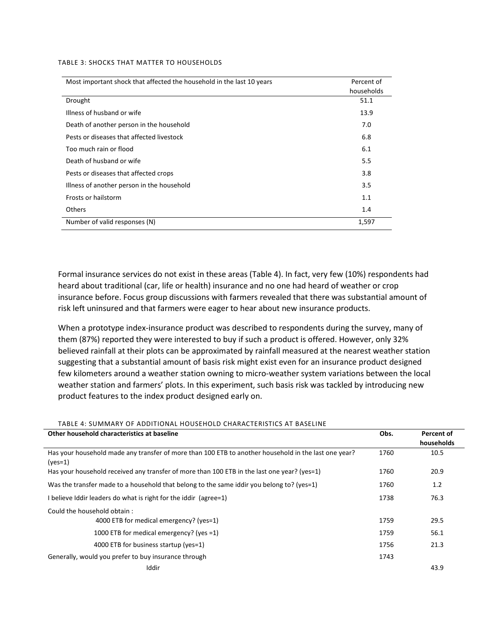#### TABLE 3: SHOCKS THAT MATTER TO HOUSEHOLDS

| Most important shock that affected the household in the last 10 years | Percent of |
|-----------------------------------------------------------------------|------------|
|                                                                       | households |
| Drought                                                               | 51.1       |
| Illness of husband or wife                                            | 13.9       |
| Death of another person in the household                              | 7.0        |
| Pests or diseases that affected livestock                             | 6.8        |
| Too much rain or flood                                                | 6.1        |
| Death of husband or wife                                              | 5.5        |
| Pests or diseases that affected crops                                 | 3.8        |
| Illness of another person in the household                            | 3.5        |
| Frosts or hailstorm                                                   | 1.1        |
| <b>Others</b>                                                         | 1.4        |
| Number of valid responses (N)                                         | 1,597      |

Formal insurance services do not exist in these areas (Table 4). In fact, very few (10%) respondents had heard about traditional (car, life or health) insurance and no one had heard of weather or crop insurance before. Focus group discussions with farmers revealed that there was substantial amount of risk left uninsured and that farmers were eager to hear about new insurance products.

When a prototype index-insurance product was described to respondents during the survey, many of them (87%) reported they were interested to buy if such a product is offered. However, only 32% believed rainfall at their plots can be approximated by rainfall measured at the nearest weather station suggesting that a substantial amount of basis risk might exist even for an insurance product designed few kilometers around a weather station owning to micro-weather system variations between the local weather station and farmers' plots. In this experiment, such basis risk was tackled by introducing new product features to the index product designed early on.

| TABLE 4: SUMMARY OF ADDITIONAL HOUSEHOLD CHARACTERISTICS AT BASELINE                                              |      |            |
|-------------------------------------------------------------------------------------------------------------------|------|------------|
| Other household characteristics at baseline                                                                       | Obs. | Percent of |
|                                                                                                                   |      | households |
| Has your household made any transfer of more than 100 ETB to another household in the last one year?<br>$(yes=1)$ | 1760 | 10.5       |
| Has your household received any transfer of more than 100 ETB in the last one year? (yes=1)                       | 1760 | 20.9       |
| Was the transfer made to a household that belong to the same iddir you belong to? (yes=1)                         | 1760 | 1.2        |
| I believe Iddir leaders do what is right for the iddir (agree=1)                                                  | 1738 | 76.3       |
| Could the household obtain:                                                                                       |      |            |
| 4000 ETB for medical emergency? (yes=1)                                                                           | 1759 | 29.5       |
| 1000 ETB for medical emergency? (yes =1)                                                                          | 1759 | 56.1       |
| 4000 ETB for business startup (yes=1)                                                                             | 1756 | 21.3       |
| Generally, would you prefer to buy insurance through                                                              | 1743 |            |
| Iddir                                                                                                             |      | 43.9       |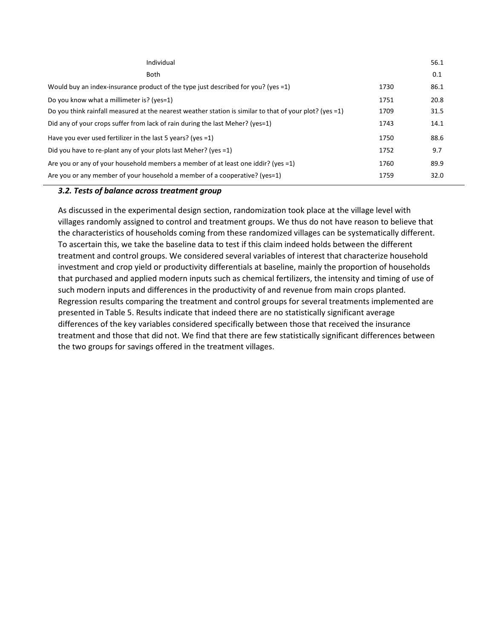| Individual                                                                                              |      | 56.1 |
|---------------------------------------------------------------------------------------------------------|------|------|
| <b>Both</b>                                                                                             |      | 0.1  |
| Would buy an index-insurance product of the type just described for you? (yes =1)                       | 1730 | 86.1 |
| Do you know what a millimeter is? (yes=1)                                                               | 1751 | 20.8 |
| Do you think rainfall measured at the nearest weather station is similar to that of your plot? (yes =1) | 1709 | 31.5 |
| Did any of your crops suffer from lack of rain during the last Meher? (yes=1)                           | 1743 | 14.1 |
| Have you ever used fertilizer in the last 5 years? (yes =1)                                             | 1750 | 88.6 |
| Did you have to re-plant any of your plots last Meher? (yes =1)                                         | 1752 | 9.7  |
| Are you or any of your household members a member of at least one iddir? (yes =1)                       | 1760 | 89.9 |
| Are you or any member of your household a member of a cooperative? (yes=1)                              | 1759 | 32.0 |

### 3.2. Tests of balance across treatment group

As discussed in the experimental design section, randomization took place at the village level with villages randomly assigned to control and treatment groups. We thus do not have reason to believe that the characteristics of households coming from these randomized villages can be systematically different. To ascertain this, we take the baseline data to test if this claim indeed holds between the different treatment and control groups. We considered several variables of interest that characterize household investment and crop yield or productivity differentials at baseline, mainly the proportion of households that purchased and applied modern inputs such as chemical fertilizers, the intensity and timing of use of such modern inputs and differences in the productivity of and revenue from main crops planted. Regression results comparing the treatment and control groups for several treatments implemented are presented in Table 5. Results indicate that indeed there are no statistically significant average differences of the key variables considered specifically between those that received the insurance treatment and those that did not. We find that there are few statistically significant differences between the two groups for savings offered in the treatment villages.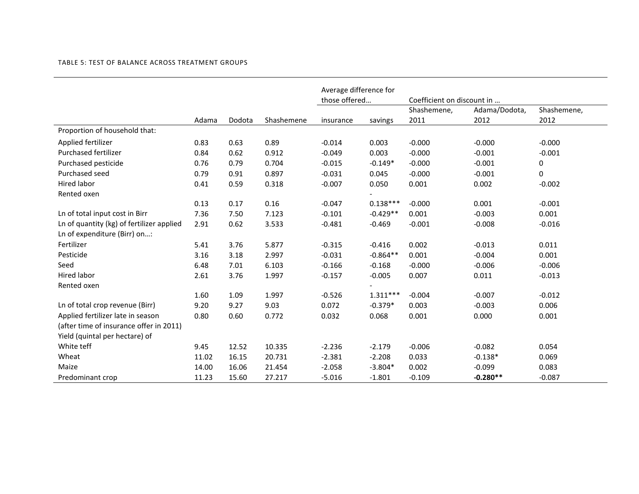|                                           |       |        |            | Average difference for<br>those offered |            | Coefficient on discount in |                       |                     |
|-------------------------------------------|-------|--------|------------|-----------------------------------------|------------|----------------------------|-----------------------|---------------------|
|                                           | Adama | Dodota | Shashemene | insurance                               | savings    | Shashemene,<br>2011        | Adama/Dodota,<br>2012 | Shashemene,<br>2012 |
| Proportion of household that:             |       |        |            |                                         |            |                            |                       |                     |
| Applied fertilizer                        | 0.83  | 0.63   | 0.89       | $-0.014$                                | 0.003      | $-0.000$                   | $-0.000$              | $-0.000$            |
| Purchased fertilizer                      | 0.84  | 0.62   | 0.912      | $-0.049$                                | 0.003      | $-0.000$                   | $-0.001$              | $-0.001$            |
| Purchased pesticide                       | 0.76  | 0.79   | 0.704      | $-0.015$                                | $-0.149*$  | $-0.000$                   | $-0.001$              | 0                   |
| Purchased seed                            | 0.79  | 0.91   | 0.897      | $-0.031$                                | 0.045      | $-0.000$                   | $-0.001$              | 0                   |
| <b>Hired labor</b>                        | 0.41  | 0.59   | 0.318      | $-0.007$                                | 0.050      | 0.001                      | 0.002                 | $-0.002$            |
| Rented oxen                               |       |        |            |                                         |            |                            |                       |                     |
|                                           | 0.13  | 0.17   | 0.16       | $-0.047$                                | $0.138***$ | $-0.000$                   | 0.001                 | $-0.001$            |
| Ln of total input cost in Birr            | 7.36  | 7.50   | 7.123      | $-0.101$                                | $-0.429**$ | 0.001                      | $-0.003$              | 0.001               |
| Ln of quantity (kg) of fertilizer applied | 2.91  | 0.62   | 3.533      | $-0.481$                                | $-0.469$   | $-0.001$                   | $-0.008$              | $-0.016$            |
| Ln of expenditure (Birr) on:              |       |        |            |                                         |            |                            |                       |                     |
| Fertilizer                                | 5.41  | 3.76   | 5.877      | $-0.315$                                | $-0.416$   | 0.002                      | $-0.013$              | 0.011               |
| Pesticide                                 | 3.16  | 3.18   | 2.997      | $-0.031$                                | $-0.864**$ | 0.001                      | $-0.004$              | 0.001               |
| Seed                                      | 6.48  | 7.01   | 6.103      | $-0.166$                                | $-0.168$   | $-0.000$                   | $-0.006$              | $-0.006$            |
| Hired labor                               | 2.61  | 3.76   | 1.997      | $-0.157$                                | $-0.005$   | 0.007                      | 0.011                 | $-0.013$            |
| Rented oxen                               |       |        |            |                                         |            |                            |                       |                     |
|                                           | 1.60  | 1.09   | 1.997      | $-0.526$                                | $1.311***$ | $-0.004$                   | $-0.007$              | $-0.012$            |
| Ln of total crop revenue (Birr)           | 9.20  | 9.27   | 9.03       | 0.072                                   | $-0.379*$  | 0.003                      | $-0.003$              | 0.006               |
| Applied fertilizer late in season         | 0.80  | 0.60   | 0.772      | 0.032                                   | 0.068      | 0.001                      | 0.000                 | 0.001               |
| (after time of insurance offer in 2011)   |       |        |            |                                         |            |                            |                       |                     |
| Yield (quintal per hectare) of            |       |        |            |                                         |            |                            |                       |                     |
| White teff                                | 9.45  | 12.52  | 10.335     | $-2.236$                                | $-2.179$   | $-0.006$                   | $-0.082$              | 0.054               |
| Wheat                                     | 11.02 | 16.15  | 20.731     | $-2.381$                                | $-2.208$   | 0.033                      | $-0.138*$             | 0.069               |
| Maize                                     | 14.00 | 16.06  | 21.454     | $-2.058$                                | $-3.804*$  | 0.002                      | $-0.099$              | 0.083               |
| Predominant crop                          | 11.23 | 15.60  | 27.217     | $-5.016$                                | $-1.801$   | $-0.109$                   | $-0.280**$            | $-0.087$            |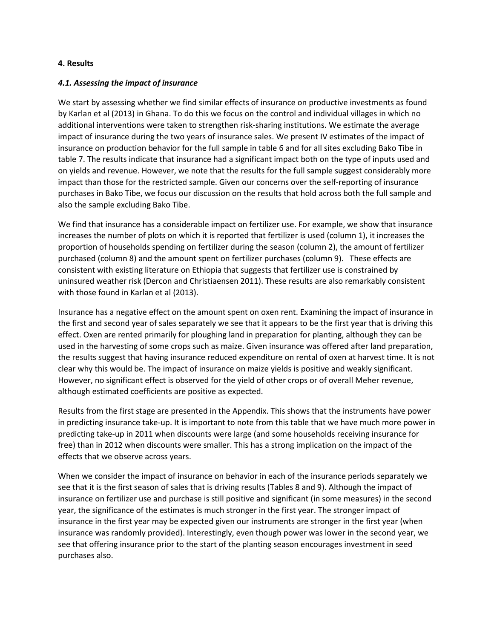### 4. Results

### 4.1. Assessing the impact of insurance

We start by assessing whether we find similar effects of insurance on productive investments as found by Karlan et al (2013) in Ghana. To do this we focus on the control and individual villages in which no additional interventions were taken to strengthen risk-sharing institutions. We estimate the average impact of insurance during the two years of insurance sales. We present IV estimates of the impact of insurance on production behavior for the full sample in table 6 and for all sites excluding Bako Tibe in table 7. The results indicate that insurance had a significant impact both on the type of inputs used and on yields and revenue. However, we note that the results for the full sample suggest considerably more impact than those for the restricted sample. Given our concerns over the self-reporting of insurance purchases in Bako Tibe, we focus our discussion on the results that hold across both the full sample and also the sample excluding Bako Tibe.

We find that insurance has a considerable impact on fertilizer use. For example, we show that insurance increases the number of plots on which it is reported that fertilizer is used (column 1), it increases the proportion of households spending on fertilizer during the season (column 2), the amount of fertilizer purchased (column 8) and the amount spent on fertilizer purchases (column 9). These effects are consistent with existing literature on Ethiopia that suggests that fertilizer use is constrained by uninsured weather risk (Dercon and Christiaensen 2011). These results are also remarkably consistent with those found in Karlan et al (2013).

Insurance has a negative effect on the amount spent on oxen rent. Examining the impact of insurance in the first and second year of sales separately we see that it appears to be the first year that is driving this effect. Oxen are rented primarily for ploughing land in preparation for planting, although they can be used in the harvesting of some crops such as maize. Given insurance was offered after land preparation, the results suggest that having insurance reduced expenditure on rental of oxen at harvest time. It is not clear why this would be. The impact of insurance on maize yields is positive and weakly significant. However, no significant effect is observed for the yield of other crops or of overall Meher revenue, although estimated coefficients are positive as expected.

Results from the first stage are presented in the Appendix. This shows that the instruments have power in predicting insurance take-up. It is important to note from this table that we have much more power in predicting take-up in 2011 when discounts were large (and some households receiving insurance for free) than in 2012 when discounts were smaller. This has a strong implication on the impact of the effects that we observe across years.

When we consider the impact of insurance on behavior in each of the insurance periods separately we see that it is the first season of sales that is driving results (Tables 8 and 9). Although the impact of insurance on fertilizer use and purchase is still positive and significant (in some measures) in the second year, the significance of the estimates is much stronger in the first year. The stronger impact of insurance in the first year may be expected given our instruments are stronger in the first year (when insurance was randomly provided). Interestingly, even though power was lower in the second year, we see that offering insurance prior to the start of the planting season encourages investment in seed purchases also.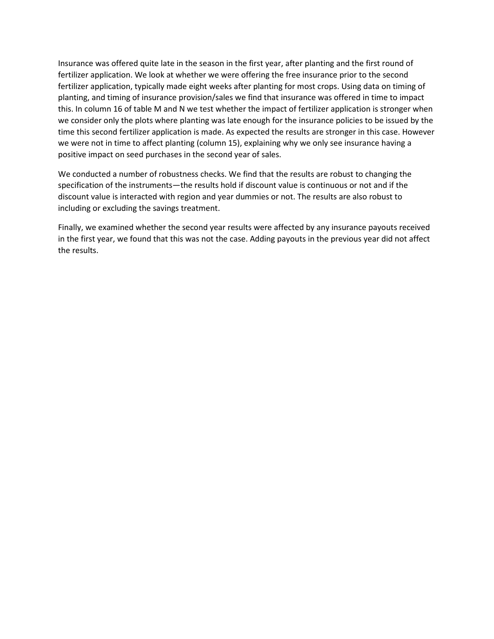Insurance was offered quite late in the season in the first year, after planting and the first round of fertilizer application. We look at whether we were offering the free insurance prior to the second fertilizer application, typically made eight weeks after planting for most crops. Using data on timing of planting, and timing of insurance provision/sales we find that insurance was offered in time to impact this. In column 16 of table M and N we test whether the impact of fertilizer application is stronger when we consider only the plots where planting was late enough for the insurance policies to be issued by the time this second fertilizer application is made. As expected the results are stronger in this case. However we were not in time to affect planting (column 15), explaining why we only see insurance having a positive impact on seed purchases in the second year of sales.

We conducted a number of robustness checks. We find that the results are robust to changing the specification of the instruments—the results hold if discount value is continuous or not and if the discount value is interacted with region and year dummies or not. The results are also robust to including or excluding the savings treatment.

Finally, we examined whether the second year results were affected by any insurance payouts received in the first year, we found that this was not the case. Adding payouts in the previous year did not affect the results.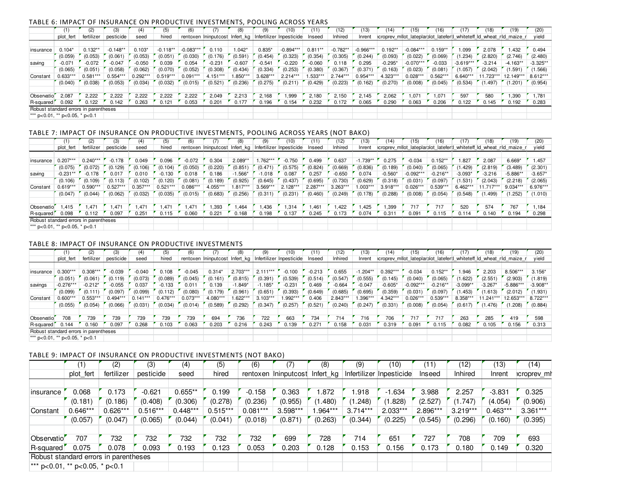#### TABLE 6: IMPACT OF INSURANCE ON PRODUCTIVE INVESTMENTS, POOLING ACROSS YEARS

|                                       |            |            | (3)        | (4)        |            |             |            |            |          | 10                                                      |           | (12)       | 13)         | (14)                                                               | 15          |            |             | 18)      | (19)       | (20)       |
|---------------------------------------|------------|------------|------------|------------|------------|-------------|------------|------------|----------|---------------------------------------------------------|-----------|------------|-------------|--------------------------------------------------------------------|-------------|------------|-------------|----------|------------|------------|
|                                       | plot fert  | fertilizer | pesticide  | seed       | hired      |             |            |            |          | rentoxen Ininputcost Infert kg Infertilizer Inpesticide | Inseed    | Inhired    | Inrent      | croprev milot lateplarblot lateferd whiteteff id wheat rid maize r |             |            |             |          |            | yield      |
|                                       |            |            |            |            |            |             |            |            |          |                                                         |           |            |             |                                                                    |             |            |             |          |            |            |
| insurance                             | $0.104*$   | $0.132**$  | $-0.148**$ | $0.103*$   | $-0.118**$ | $-0.083***$ | 0.110      | $.042*$    | $0.835*$ | $-0.894***$                                             | $0.811**$ | $-0.782**$ | $-0.966***$ | $0.192**$                                                          | $-0.084***$ | $0.159**$  | .099        | 2.078    | 1.432      | 0.494      |
|                                       | (0.059)    | (0.053)    | (0.061)    | (0.053)    | (0.051)    | (0.030)     | (0.176)    | (0.591)    | (0.454)  | (0.323)                                                 | (0.354)   | (0.305)    | (0.244)     | (0.093)                                                            | (0.022)     | (0.069)    | (1.234)     | (2.820)  | (2.746)    | (2.480)    |
| saving                                | $-0.071$   | $-0.072$   | $-0.047$   | $-0.050$   | 0.039      | 0.054       | $-0.231$   | $-0.607$   | $-0.541$ | $-0.220$                                                | $-0.060$  | 0.118      | 0.295       | $-0.295*$                                                          | $-0.070***$ | $-0.033$   | $-3.619***$ | $-3.214$ | $-4.163**$ | $-3.325**$ |
|                                       | (0.065)    | (0.051)    | (0.058)    | (0.062)    | (0.070)    | (0.052)     | (0.308)    | (0.434)    | (0.334)  | (0.253)                                                 | (0.380)   | (0.367)    | (0.371)     | (0.163)                                                            | (0.023)     | (0.081)    | (1.057)     | (2.042)  | 1.591)     | (1.566)    |
| Constant                              | $0.633***$ | $0.581***$ | $0.554***$ | $0.292***$ | $0.519***$ | $0.091***$  | $4.151***$ | $0.850***$ | 3.628*** | $2.214***$                                              | $.533***$ | $2.744***$ | $0.954***$  | $4.323***$                                                         | $0.028***$  | $0.562***$ | 6.640***    | .723***  | 12.149***  | 8.612***   |
|                                       | (0.040)    | (0.038)    | (0.053)    | (0.034)    | (0.032)    | (0.015)     | (0.521)    | (0.236)    | (0.275)  | (0.211)                                                 | (0.429)   | (0.223)    | (0.162)     | (0.270)                                                            | (0.008)     | (0.045)    | (0.534)     | (1.497)  | 1.201)     | (0.954)    |
|                                       |            |            |            |            |            |             |            |            |          |                                                         |           |            |             |                                                                    |             |            |             |          |            |            |
| Observatio <sup>'</sup>               | 2,087      | 2,222      | 2,222      | 2,222      | 2,222      | 2,222       | 2,049      | 2,213      | 2.168    | 1,999                                                   | 2.180     | 2,150      | 2.145       | 2,062                                                              | 1.071       | .071       | 597         | 580      | 1,390      | .781       |
| R-squared                             | 0.092      | 0.122      | 0.142      | 0.263      | 0.121      | 0.053       | 0.201      | 0.177      | 0.196    | 0.154                                                   | 0.232     | 0.172      | 0.065       | 0.290                                                              | 0.063       | 0.206      | 0.122       | 0.145    | 0.192      | 0.283      |
| Robust standard errors in parentheses |            |            |            |            |            |             |            |            |          |                                                         |           |            |             |                                                                    |             |            |             |          |            |            |
| *** p<0.01, ** p<0.05, * p<0.1        |            |            |            |            |            |             |            |            |          |                                                         |           |            |             |                                                                    |             |            |             |          |            |            |

#### TABLE 7: IMPACT OF INSURANCE ON PRODUCTIVE INVESTMENTS, POOLING ACROSS YEARS (NOT BAKO)

|                                       |            | (2)        | (3)        |                   |          |            |            |            |           | 10)                                                     |          | (12)       | 13         | 14)                                                                  | 15)         | 16)        | 17         | $^{\prime}18)$ |            | (20)      |
|---------------------------------------|------------|------------|------------|-------------------|----------|------------|------------|------------|-----------|---------------------------------------------------------|----------|------------|------------|----------------------------------------------------------------------|-------------|------------|------------|----------------|------------|-----------|
|                                       | plot fert  | fertilizer | pesticide  | seed              | hired    |            |            |            |           | rentoxen Ininputcost Infert kg Infertilizer Inpesticide | Inseed   | Inhired    | Inrent     | icroprev milot lateplarilot lateferit whiteteff id wheat rid maize r |             |            |            |                |            | yield     |
|                                       |            |            |            |                   |          |            |            |            |           |                                                         |          |            |            |                                                                      |             |            |            |                |            |           |
| insurance                             | $0.207***$ | $0.240***$ | $-0.178$   | 0.049             | 0.096    | $-0.072$   | 0.304      | $2.089**$  | 762***    | $-0.750$                                                | 0.499    | 0.637      | $-1.739**$ | 0.275                                                                | $-0.034$    | $0.152***$ | 1.827      | 2.087          | $6.669*$   | 1.457     |
|                                       | (0.075)    | (0.072)    | (0.129)    | (0.106)           | (0.104)  | (0.050)    | (0.220)    | (0.851)    | (0.471)   | (0.575)                                                 | (0.824)  | (0.669)    | (0.836)    | (0.189)                                                              | (0.040)     | (0.065)    | (1.429)    | (2.819)        | (3.489)    | (2.301)   |
| saving                                | $-0.231**$ | $-0.178$   | 0.017      | 0.010             | $-0.130$ | 0.018      | 0.186      | $-1.566*$  | $-1.018$  | 0.087                                                   | 0.257    | $-0.650$   | 0.074      | $-0.560*$                                                            | $-0.092***$ | $-0.216**$ | $-3.093*$  | $-3.216$       | $-5.886**$ | $-3.657*$ |
|                                       | (0.106)    | (0.109)    | (0.113)    | (0.102)           | (0.120)  | (0.081)    | (0.189)    | (0.925)    | (0.645)   | (0.437)                                                 | (0.695)  | (0.730)    | (0.629)    | (0.318)                                                              | (0.031)     | (0.097)    | (1.531)    | (2.043)        | (2.218)    | (2.065)   |
| Constant                              | $0.619***$ | $0.590***$ | $0.527***$ | $0.357***$        | U.521*** | $0.086***$ | $4.055***$ | $1.817***$ | $3.569**$ | $2.128***$                                              | 2.287*** | $3.263***$ | $1.003***$ | 3.918***                                                             | $0.026***$  | $0.539***$ | $6.462***$ | $1.717***$     | 9.034***   | 6.976***  |
|                                       | (0.047)    | (0.044)    | (0.062)    | (0.032)           | (0.035)  | (0.015)    | (0.683)    | (0.256)    | (0.311)   | (0.231)                                                 | (0.460)  | (0.249)    | (0.178)    | (0.288)                                                              | (0.008)     | (0.054)    | (0.548)    | (1.499)        | (.252)     | (1.010)   |
|                                       |            |            |            |                   |          |            |            |            |           |                                                         |          |            |            |                                                                      |             |            |            |                |            |           |
| Observatio                            | 1.415      | 1.471      | 1.471      | .471              | 1.471    | .471       | .393       | 1,464      | .436      | 1.314                                                   | 1.461    | .422       | 1.425      | 1,399                                                                | 717         | 717        | 520        | 574            | 767        | 1.184     |
| R-squared                             | 0.098      | 0.112      | 0.097      | 0.25 <sup>1</sup> | 0.115    | 0.060      | 0.221      | 0.168      | 0.198     | 0.137                                                   | 0.245    | 0.173      | 0.074      | 0.31                                                                 | 0.091       | 0.115      | 0.114      | 0.140          | 0.194      | 0.298     |
| Robust standard errors in parentheses |            |            |            |                   |          |            |            |            |           |                                                         |          |            |            |                                                                      |             |            |            |                |            |           |
| *** p<0.01, ** p<0.05, * p<0.1        |            |            |            |                   |          |            |            |            |           |                                                         |          |            |            |                                                                      |             |            |            |                |            |           |

### TABLE 8: IMPACT OF INSURANCE ON PRODUCTIVE INVESTMENTS

|                                       |             |            | (3)        | (4)        |            |            |          |           |            | 10)                                                     |          | (12)     | 13)        | (14)       | (15)        |            |            | 18)        | (19)                                                               | (20)       |
|---------------------------------------|-------------|------------|------------|------------|------------|------------|----------|-----------|------------|---------------------------------------------------------|----------|----------|------------|------------|-------------|------------|------------|------------|--------------------------------------------------------------------|------------|
|                                       | plot fert   | fertilizer | pesticide  | seed       | hired      |            |          |           |            | rentoxen Ininputcost Infert kg Infertilizer Inpesticide | Inseed   | Inhired  | Inrent     |            |             |            |            |            | croprev milot lateplarblot lateferd whiteteff ld wheat rid maize r | yield      |
|                                       |             |            |            |            |            |            |          |           |            |                                                         |          |          |            |            |             |            |            |            |                                                                    |            |
| insurance                             | $0.300***$  | $0.308***$ | $-0.039$   | $-0.040$   | 0.108      | $-0.045$   | $0.314*$ | 2.703***  | $2.111***$ | $-0.100$                                                | $-0.213$ | 0.655    | $-1.204**$ | $0.392***$ | $-0.034$    | $0.152***$ | .946       | 2.203      | 8.506***                                                           | $3.156*$   |
|                                       | (0.051)     | (0.061)    | (0.119)    | (0.073)    | (0.089)    | (0.045)    | (0.161)  | (0.815)   | (0.391)    | (0.539)                                                 | (0.514)  | (0.547)  | (0.555)    | (0.145)    | (0.040)     | (0.065)    | (1.622)    | (2.551)    | (2.903)                                                            | (1.819)    |
| savings                               | $-0.276***$ | $-0.212*$  | $-0.055$   | 0.037      | $-0.133$   | 0.01       | 0.139    | $-1.849*$ | $-1.185*$  | $-0.231$                                                | 0.469    | $-0.664$ | $-0.047$   | $-0.605*$  | $-0.092***$ | $-0.216**$ | $-3.099**$ | $-3.267'$  | $-5.886***$                                                        | $-3.908**$ |
|                                       | (0.099)     | (0.111)    | (0.097)    | (0.099)    | (0.112)    | (0.080)    | (0.179)  | (0.961)   | (0.651)    | (0.393)                                                 | (0.649)  | (0.685)  | (0.695)    | (0.359)    | (0.031)     | (0.097)    | (1.453)    | (1.613)    | (2.012)                                                            | (1.931)    |
| Constant                              | $0.600***$  | $0.553***$ | $0.494***$ | $0.141***$ | $0.476***$ | $0.073***$ | 4.080*** | $.622***$ | $3.103***$ | .992***                                                 | 0.406    | 2.843*** | 1.396***   | $4.342***$ | $0.026***$  | $0.539***$ | 8.358***   | $1.241***$ | 12.653***                                                          | 8.722***   |
|                                       | (0.055)     | (0.054)    | (0.066)    | (0.031)    | (0.034)    | (0.014)    | (0.589)  | (0.292)   | (0.347)    | (0.257)                                                 | (0.521)  | (0.240)  | (0.247)    | (0.331)    | (0.008)     | (0.054)    | (0.617)    | 1.476      | 1.208                                                              | (0.884)    |
|                                       |             |            |            |            |            |            |          |           |            |                                                         |          |          |            |            |             |            |            |            |                                                                    |            |
| Observatio'                           | 708         | 739        | 739        | 739        | 739        | 739        | 694      | 736       | 722        | 663                                                     | 734      | 714      | 716        | 706        | 717         | 717        | 263        | 285        | 419                                                                | 598        |
| R-squared                             | 0.144       | 0.160      | 0.097      | 0.268      | 0.103      | 0.063      | 0.203    | 0.216     | 0.243      | 0.139                                                   | 0.271    | 0.158    | 0.031      | 0.319      | 0.091       | 0.115      | 0.082      | 0.105      | 0.156                                                              | 0.313      |
| Robust standard errors in parentheses |             |            |            |            |            |            |          |           |            |                                                         |          |          |            |            |             |            |            |            |                                                                    |            |
| *** p<0.01, ** p<0.05, * p<0.1        |             |            |            |            |            |            |          |           |            |                                                         |          |          |            |            |             |            |            |            |                                                                    |            |

#### TABLE 9: IMPACT OF INSURANCE ON PRODUCTIVE INVESTMENTS (NOT BAKO)

|                                       | (1)        | (2)        | (3)        | (4)        | (5)        | (6)        | 7)                    | (8)       | (9)        | (10)                     | (11      | (12)       | (13)       | (14)       |
|---------------------------------------|------------|------------|------------|------------|------------|------------|-----------------------|-----------|------------|--------------------------|----------|------------|------------|------------|
|                                       | plot fert  | fertilizer | pesticide  | seed       | hired      | rentoxen   | Ininputcost Infert kg |           |            | Infertilizer Inpesticide | Inseed   | Inhired    | Inrent     | croprev mr |
|                                       |            |            |            |            |            |            |                       |           |            |                          |          |            |            |            |
| insurance                             | 0.068      | 0.173      | $-0.621$   | $0.655**$  | 0.199      | $-0.158$   | 0.363                 | .872      | .918       | $-1.634$                 | 3.988    | 2.257      | $-3.831$   | 0.325      |
|                                       | (0.181)    | (0.186)    | (0.408)    | (0.306)    | (0.278)    | (0.236)    | (0.955)               | (1.480)   | (1.248)    | (1.828)                  | (2.527)  | (1.747)    | (4.054)    | (0.906)    |
| Constant                              | $0.646***$ | $0.626***$ | $0.516***$ | $0.448***$ | $0.515***$ | $0.081***$ | 3.598***              | $.964***$ | $3.714***$ | $2.033***$               | 2.896*** | $3.219***$ | $0.463***$ | $3.361***$ |
|                                       | (0.057)    | (0.047)    | (0.065)    | (0.044)    | (0.041)    | (0.018)    | (0.871)               | (0.263)   | (0.344)    | (0.225)                  | (0.545)  | (0.296)    | (0.160)    | (0.395)    |
|                                       |            |            |            |            |            |            |                       |           |            |                          |          |            |            |            |
| Observatio                            | 707        | 732        | 732        | 732        | 732        | 732        | 699                   | 728       | 714        | 651                      | 727      | 708        | 709        | 693        |
| R-squared                             | 0.075      | 0.078      | 0.093      | 0.193      | 0.123      | 0.053      | 0.203                 | 0.128     | 0.153      | 0.156                    | 0.173    | 0.180      | 0.149      | 0.320      |
| Robust standard errors in parentheses |            |            |            |            |            |            |                       |           |            |                          |          |            |            |            |
| *** p<0.01, ** p<0.05, * p<0.1        |            |            |            |            |            |            |                       |           |            |                          |          |            |            |            |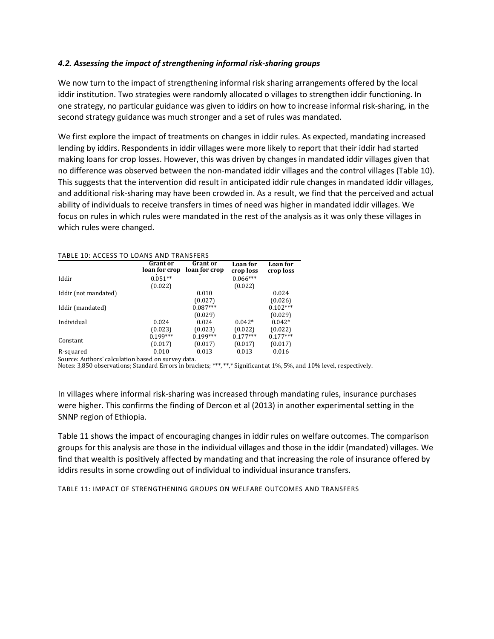### 4.2. Assessing the impact of strengthening informal risk-sharing groups

We now turn to the impact of strengthening informal risk sharing arrangements offered by the local iddir institution. Two strategies were randomly allocated o villages to strengthen iddir functioning. In one strategy, no particular guidance was given to iddirs on how to increase informal risk-sharing, in the second strategy guidance was much stronger and a set of rules was mandated.

We first explore the impact of treatments on changes in iddir rules. As expected, mandating increased lending by iddirs. Respondents in iddir villages were more likely to report that their iddir had started making loans for crop losses. However, this was driven by changes in mandated iddir villages given that no difference was observed between the non-mandated iddir villages and the control villages (Table 10). This suggests that the intervention did result in anticipated iddir rule changes in mandated iddir villages, and additional risk-sharing may have been crowded in. As a result, we find that the perceived and actual ability of individuals to receive transfers in times of need was higher in mandated iddir villages. We focus on rules in which rules were mandated in the rest of the analysis as it was only these villages in which rules were changed.

| INDLE 10. ACCESS TO LOANS AND THANSILINS |                           |                                  |                       |                       |
|------------------------------------------|---------------------------|----------------------------------|-----------------------|-----------------------|
|                                          | Grant or<br>loan for crop | <b>Grant</b> or<br>loan for crop | Loan for<br>crop loss | Loan for<br>crop loss |
| Iddir                                    | $0.051**$                 |                                  | $0.066***$            |                       |
|                                          | (0.022)                   |                                  | (0.022)               |                       |
| Iddir (not mandated)                     |                           | 0.010                            |                       | 0.024                 |
|                                          |                           | (0.027)                          |                       | (0.026)               |
| Iddir (mandated)                         |                           | $0.087***$                       |                       | $0.102***$            |
|                                          |                           | (0.029)                          |                       | (0.029)               |
| Individual                               | 0.024                     | 0.024                            | $0.042*$              | $0.042*$              |
|                                          | (0.023)                   | (0.023)                          | (0.022)               | (0.022)               |
| Constant                                 | $0.199***$                | $0.199***$                       | $0.177***$            | $0.177***$            |
|                                          | (0.017)                   | (0.017)                          | (0.017)               | (0.017)               |
| R-squared                                | 0.010                     | 0.013                            | 0.013                 | 0.016                 |

#### TABLE 10: ACCESS TO LOANS AND TRANSFERS

Source: Authors' calculation based on survey data.

Notes: 3,850 observations; Standard Errors in brackets; \*\*\*, \*\*,\* Significant at 1%, 5%, and 10% level, respectively.

In villages where informal risk-sharing was increased through mandating rules, insurance purchases were higher. This confirms the finding of Dercon et al (2013) in another experimental setting in the SNNP region of Ethiopia.

Table 11 shows the impact of encouraging changes in iddir rules on welfare outcomes. The comparison groups for this analysis are those in the individual villages and those in the iddir (mandated) villages. We find that wealth is positively affected by mandating and that increasing the role of insurance offered by iddirs results in some crowding out of individual to individual insurance transfers.

TABLE 11: IMPACT OF STRENGTHENING GROUPS ON WELFARE OUTCOMES AND TRANSFERS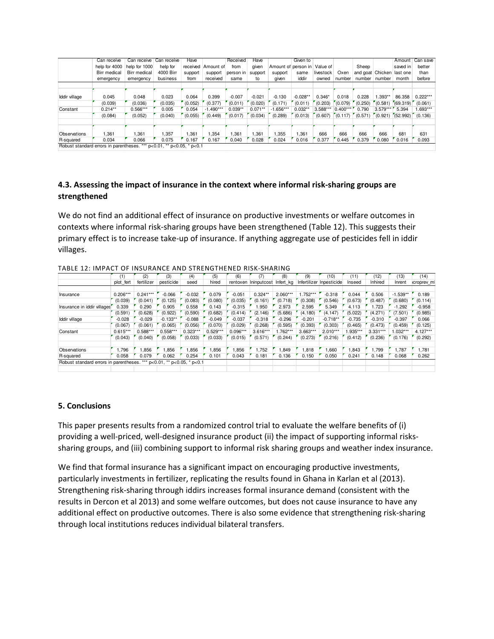|                                        | Can receive   | Can receive   | Can receive                    | Have    |                    | Received  | Have      |             | Given to                     |           |            |                           |            | Amount   | Can save   |
|----------------------------------------|---------------|---------------|--------------------------------|---------|--------------------|-----------|-----------|-------------|------------------------------|-----------|------------|---------------------------|------------|----------|------------|
|                                        |               |               |                                |         |                    |           |           |             |                              |           |            |                           |            |          |            |
|                                        | help for 4000 | help for 1000 | help for                       |         | received Amount of | from      | given     |             | Amount of person in Value of |           |            | Sheep                     |            | saved in | better     |
|                                        | Birr medical  | Birr medical  | 4000 Birr                      | support | support            | person in | support   | support     | same                         | livestock | Oxen       | and goat Chicken last one |            |          | than       |
|                                        | emergency     | emergency     | business                       | from    | received           | same      | to        | given       | iddir                        | owned     | number     | number number             |            | month    | before     |
|                                        |               |               |                                |         |                    |           |           |             |                              |           |            |                           |            |          |            |
|                                        |               |               |                                |         |                    |           |           |             |                              |           |            |                           |            |          |            |
| Iddir village                          | 0.045         | 0.048         | 0.023                          | 0.064   | 0.399              | $-0.007$  | $-0.021$  | $-0.130$    | $-0.028**$                   | $0.346*$  | 0.018      | 0.228                     | $1.393**$  | 86.358   | $0.222***$ |
|                                        | (0.039)       | (0.036)       | (0.035)                        | (0.052) | (0.377)            | (0.011)   | (0.020)   | (0.171)     | (0.011)                      | (0.203)   | (0.079)    | (0.250)                   | (0.581)    | (69.319) | (0.061)    |
| Constant                               | $0.214**$     | $0.566***$    | 0.005                          | 0.054   | $-1.490***$        | $0.039**$ | $0.071**$ | $-1.656***$ | $0.032**$                    | 3.588***  | $0.400***$ | 0.790                     | $3.579***$ | 5.394    | 1.693***   |
|                                        | (0.084)       | (0.052)       | (0.040)                        | (0.055) | (0.449)            | (0.017)   | (0.034)   | (0.289)     | (0.013)                      | (0.607)   | (0.117)    | (0.571)                   | (0.921)    | (52.992) | (0.136)    |
|                                        |               |               |                                |         |                    |           |           |             |                              |           |            |                           |            |          |            |
| Observations                           | 1,361         | 1,361         | 1.357                          | 1.361   | .354               | i,361     | 1,361     | 1,355       | 1,361                        | 666       | 666        | 666                       | 666        | 681      | 631        |
| R-squared                              | 0.034         | 0.066         | 0.075                          | 0.167   | 0.167              | 0.040     | 0.028     | 0.024       | 0.016                        | 0.377     | 0.445      | 0.379                     | 0.080      | 0.016    | 0.093      |
| Robust standard errors in parentheses. |               |               | *** p<0.01, ** p<0.05, * p<0.1 |         |                    |           |           |             |                              |           |            |                           |            |          |            |

## 4.3. Assessing the impact of insurance in the context where informal risk-sharing groups are strengthened

We do not find an additional effect of insurance on productive investments or welfare outcomes in contexts where informal risk-sharing groups have been strengthened (Table 12). This suggests their primary effect is to increase take-up of insurance. If anything aggregate use of pesticides fell in iddir villages.

|                                                                          |            | (2)        | (3)        | (4)        | (5)        | (6)        | (7)                  | (8)        | (9)        | (10)                     | (11)     | '12)       | (13)       | (14)        |
|--------------------------------------------------------------------------|------------|------------|------------|------------|------------|------------|----------------------|------------|------------|--------------------------|----------|------------|------------|-------------|
|                                                                          | plot fert  | fertilizer | pesticide  | seed       | hired      |            | rentoxen Ininputcost | Infert ka  |            | Infertilizer Inpesticide | Inseed   | Inhired    | Inrent     | icroprev ml |
|                                                                          |            |            |            |            |            |            |                      |            |            |                          |          |            |            |             |
| Insurance                                                                | $0.206***$ | $0.241***$ | $-0.066$   | $-0.032$   | 0.079      | $-0.051$   | $0.324**$            | $2.060***$ | $1.752***$ | $-0.318$                 | 0.044    | 0.506      | $-1.539**$ | 0.189       |
|                                                                          | (0.039)    | (0.041)    | (0.125)    | (0.083)    | (0.080)    | (0.035)    | (0.161)              | (0.718)    | (0.308)    | (0.546)                  | (0.673)  | (0.487)    | (0.680)    | (0.114)     |
| Insurance in iddir villages                                              | 0.339      | 0.290      | 0.905      | 0.558      | 0.143      | $-0.315$   | .950                 | 2.973      | 2.595      | 5.349                    | 4.113    | .723       | $-1.292$   | $-0.958$    |
|                                                                          | (0.591)    | (0.628)    | (0.922)    | (0.590)    | (0.682)    | (0.414)    | (2.146)              | (5.686)    | (4.180)    | (4.147)                  | (5.022)  | (4.271)    | (7.501)    | (0.985)     |
| Iddir village                                                            | $-0.028$   | $-0.029$   | $-0.133**$ | $-0.088$   | $-0.049$   | $-0.037$   | $-0.318$             | $-0.296$   | $-0.201$   | $-0.718**$               | $-0.735$ | $-0.310$   | $-0.397$   | 0.066       |
|                                                                          | (0.067)    | (0.061)    | (0.065)    | (0.056)    | (0.070)    | (0.029)    | (0.268)              | (0.595)    | (0.393)    | (0.303)                  | (0.465)  | (0.473)    | (0.459)    | (0.125)     |
| Constant                                                                 | $0.615***$ | $0.588***$ | $0.558***$ | $0.323***$ | $0.529***$ | $0.096***$ | 3.616***             | $.762***$  | $3.663***$ | $2.010***$               | 1.935*** | $3.331***$ | $1.032***$ | $4.127***$  |
|                                                                          | (0.043)    | (0.040)    | (0.058)    | (0.033)    | (0.033)    | (0.015)    | (0.571)              | (0.244)    | (0.273)    | (0.216)                  | (0.412)  | (0.236)    | (0.176)    | (0.292)     |
| Observations                                                             | 1.796      | ,856       | .856       | .856       | .856       | 1,856      | .752                 | 1,849      | 1,818      | 1,660                    | 843,     | 1.799      | .787       | 1.781       |
| R-squared                                                                | 0.058      | 0.079      | 0.062      | 0.254      | 0.101      | 0.043      | 0.181                | 0.136      | 0.150      | 0.050                    | 0.241    | 0.148      | 0.068      | 0.262       |
| Robust standard errors in parentheses.<br>*** p<0.01, ** p<0.05, * p<0.1 |            |            |            |            |            |            |                      |            |            |                          |          |            |            |             |
|                                                                          |            |            |            |            |            |            |                      |            |            |                          |          |            |            |             |

TABLE 12: IMPACT OF INSURANCE AND STRENGTHENED RISK-SHARING

### 5. Conclusions

This paper presents results from a randomized control trial to evaluate the welfare benefits of (i) providing a well-priced, well-designed insurance product (ii) the impact of supporting informal riskssharing groups, and (iii) combining support to informal risk sharing groups and weather index insurance.

We find that formal insurance has a significant impact on encouraging productive investments, particularly investments in fertilizer, replicating the results found in Ghana in Karlan et al (2013). Strengthening risk-sharing through iddirs increases formal insurance demand (consistent with the results in Dercon et al 2013) and some welfare outcomes, but does not cause insurance to have any additional effect on productive outcomes. There is also some evidence that strengthening risk-sharing through local institutions reduces individual bilateral transfers.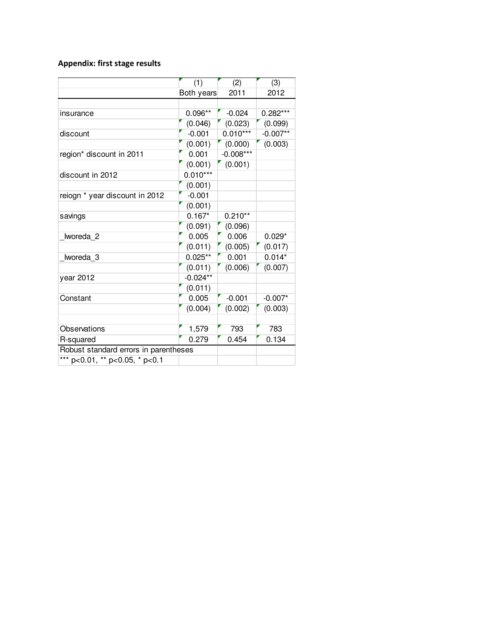# Appendix: first stage results

|                                       | (1)        | (2)         | (3)        |
|---------------------------------------|------------|-------------|------------|
|                                       | Both years | 2011        | 2012       |
|                                       |            |             |            |
| insurance                             | $0.096**$  | $-0.024$    | $0.282***$ |
|                                       | (0.046)    | (0.023)     | (0.099)    |
| discount                              | $-0.001$   | $0.010***$  | $-0.007**$ |
|                                       | (0.001)    | (0.000)     | (0.003)    |
| region* discount in 2011              | 0.001      | $-0.008***$ |            |
|                                       | (0.001)    | (0.001)     |            |
| discount in 2012                      | $0.010***$ |             |            |
|                                       | (0.001)    |             |            |
| reiogn * year discount in 2012        | $-0.001$   |             |            |
|                                       | (0.001)    |             |            |
| savings                               | $0.167*$   | $0.210**$   |            |
|                                       | (0.091)    | (0.096)     |            |
| Iworeda 2                             | 0.005      | 0.006       | $0.029*$   |
|                                       | (0.011)    | (0.005)     | (0.017)    |
| Iworeda 3                             | $0.025**$  | 0.001       | $0.014*$   |
|                                       | (0.011)    | (0.006)     | (0.007)    |
| year 2012                             | $-0.024**$ |             |            |
|                                       | (0.011)    |             |            |
| Constant                              | 0.005      | $-0.001$    | $-0.007*$  |
|                                       | (0.004)    | (0.002)     | (0.003)    |
|                                       |            |             |            |
| Observations                          | 1,579      | 793         | 783        |
| R-squared                             | 0.279      | 0.454       | 0.134      |
| Robust standard errors in parentheses |            |             |            |
| *** p<0.01, ** p<0.05, * p<0.1        |            |             |            |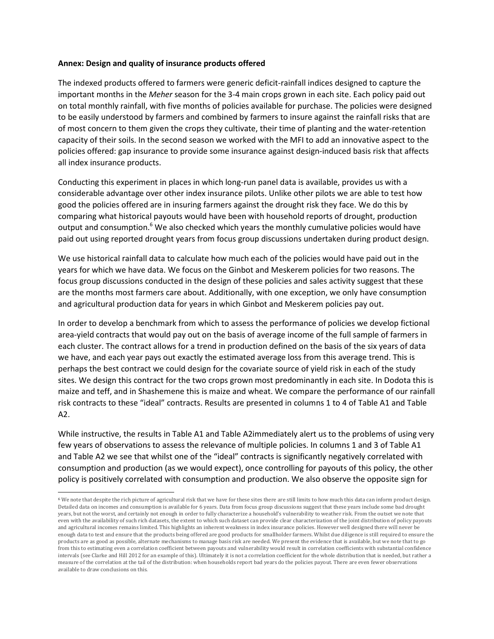### Annex: Design and quality of insurance products offered

 $\overline{\phantom{a}}$ 

The indexed products offered to farmers were generic deficit-rainfall indices designed to capture the important months in the Meher season for the 3-4 main crops grown in each site. Each policy paid out on total monthly rainfall, with five months of policies available for purchase. The policies were designed to be easily understood by farmers and combined by farmers to insure against the rainfall risks that are of most concern to them given the crops they cultivate, their time of planting and the water-retention capacity of their soils. In the second season we worked with the MFI to add an innovative aspect to the policies offered: gap insurance to provide some insurance against design-induced basis risk that affects all index insurance products.

Conducting this experiment in places in which long-run panel data is available, provides us with a considerable advantage over other index insurance pilots. Unlike other pilots we are able to test how good the policies offered are in insuring farmers against the drought risk they face. We do this by comparing what historical payouts would have been with household reports of drought, production output and consumption.<sup>6</sup> We also checked which years the monthly cumulative policies would have paid out using reported drought years from focus group discussions undertaken during product design.

We use historical rainfall data to calculate how much each of the policies would have paid out in the years for which we have data. We focus on the Ginbot and Meskerem policies for two reasons. The focus group discussions conducted in the design of these policies and sales activity suggest that these are the months most farmers care about. Additionally, with one exception, we only have consumption and agricultural production data for years in which Ginbot and Meskerem policies pay out.

In order to develop a benchmark from which to assess the performance of policies we develop fictional area-yield contracts that would pay out on the basis of average income of the full sample of farmers in each cluster. The contract allows for a trend in production defined on the basis of the six years of data we have, and each year pays out exactly the estimated average loss from this average trend. This is perhaps the best contract we could design for the covariate source of yield risk in each of the study sites. We design this contract for the two crops grown most predominantly in each site. In Dodota this is maize and teff, and in Shashemene this is maize and wheat. We compare the performance of our rainfall risk contracts to these "ideal" contracts. Results are presented in columns 1 to 4 of Table A1 and Table A2.

While instructive, the results in Table A1 and Table A2immediately alert us to the problems of using very few years of observations to assess the relevance of multiple policies. In columns 1 and 3 of Table A1 and Table A2 we see that whilst one of the "ideal" contracts is significantly negatively correlated with consumption and production (as we would expect), once controlling for payouts of this policy, the other policy is positively correlated with consumption and production. We also observe the opposite sign for

<sup>6</sup> We note that despite the rich picture of agricultural risk that we have for these sites there are still limits to how much this data can inform product design. Detailed data on incomes and consumption is available for 6 years. Data from focus group discussions suggest that these years include some bad drought years, but not the worst, and certainly not enough in order to fully characterize a household's vulnerability to weather risk. From the outset we note that even with the availability of such rich datasets, the extent to which such dataset can provide clear characterization of the joint distribution of policy payouts and agricultural incomes remains limited. This highlights an inherent weakness in index insurance policies. However well designed there will never be enough data to test and ensure that the products being offered are good products for smallholder farmers. Whilst due diligence is still required to ensure the products are as good as possible, alternate mechanisms to manage basis risk are needed. We present the evidence that is available, but we note that to go from this to estimating even a correlation coefficient between payouts and vulnerability would result in correlation coefficients with substantial confidence intervals (see Clarke and Hill 2012 for an example of this). Ultimately it is not a correlation coefficient for the whole distribution that is needed, but rather a measure of the correlation at the tail of the distribution: when households report bad years do the policies payout. There are even fewer observations available to draw conclusions on this.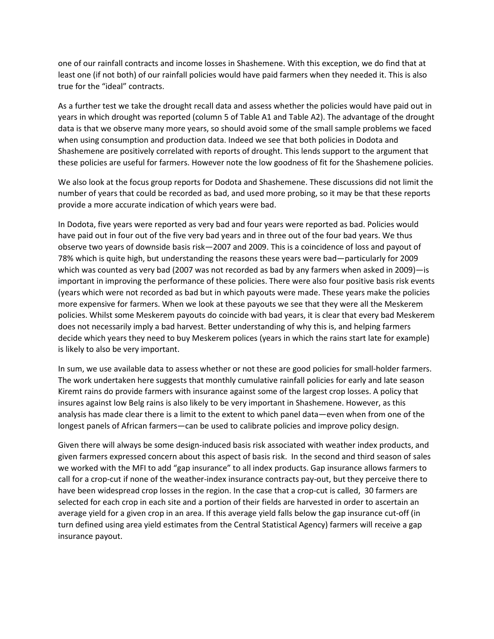one of our rainfall contracts and income losses in Shashemene. With this exception, we do find that at least one (if not both) of our rainfall policies would have paid farmers when they needed it. This is also true for the "ideal" contracts.

As a further test we take the drought recall data and assess whether the policies would have paid out in years in which drought was reported (column 5 of Table A1 and Table A2). The advantage of the drought data is that we observe many more years, so should avoid some of the small sample problems we faced when using consumption and production data. Indeed we see that both policies in Dodota and Shashemene are positively correlated with reports of drought. This lends support to the argument that these policies are useful for farmers. However note the low goodness of fit for the Shashemene policies.

We also look at the focus group reports for Dodota and Shashemene. These discussions did not limit the number of years that could be recorded as bad, and used more probing, so it may be that these reports provide a more accurate indication of which years were bad.

In Dodota, five years were reported as very bad and four years were reported as bad. Policies would have paid out in four out of the five very bad years and in three out of the four bad years. We thus observe two years of downside basis risk—2007 and 2009. This is a coincidence of loss and payout of 78% which is quite high, but understanding the reasons these years were bad—particularly for 2009 which was counted as very bad (2007 was not recorded as bad by any farmers when asked in 2009)—is important in improving the performance of these policies. There were also four positive basis risk events (years which were not recorded as bad but in which payouts were made. These years make the policies more expensive for farmers. When we look at these payouts we see that they were all the Meskerem policies. Whilst some Meskerem payouts do coincide with bad years, it is clear that every bad Meskerem does not necessarily imply a bad harvest. Better understanding of why this is, and helping farmers decide which years they need to buy Meskerem polices (years in which the rains start late for example) is likely to also be very important.

In sum, we use available data to assess whether or not these are good policies for small-holder farmers. The work undertaken here suggests that monthly cumulative rainfall policies for early and late season Kiremt rains do provide farmers with insurance against some of the largest crop losses. A policy that insures against low Belg rains is also likely to be very important in Shashemene. However, as this analysis has made clear there is a limit to the extent to which panel data—even when from one of the longest panels of African farmers—can be used to calibrate policies and improve policy design.

Given there will always be some design-induced basis risk associated with weather index products, and given farmers expressed concern about this aspect of basis risk. In the second and third season of sales we worked with the MFI to add "gap insurance" to all index products. Gap insurance allows farmers to call for a crop-cut if none of the weather-index insurance contracts pay-out, but they perceive there to have been widespread crop losses in the region. In the case that a crop-cut is called, 30 farmers are selected for each crop in each site and a portion of their fields are harvested in order to ascertain an average yield for a given crop in an area. If this average yield falls below the gap insurance cut-off (in turn defined using area yield estimates from the Central Statistical Agency) farmers will receive a gap insurance payout.